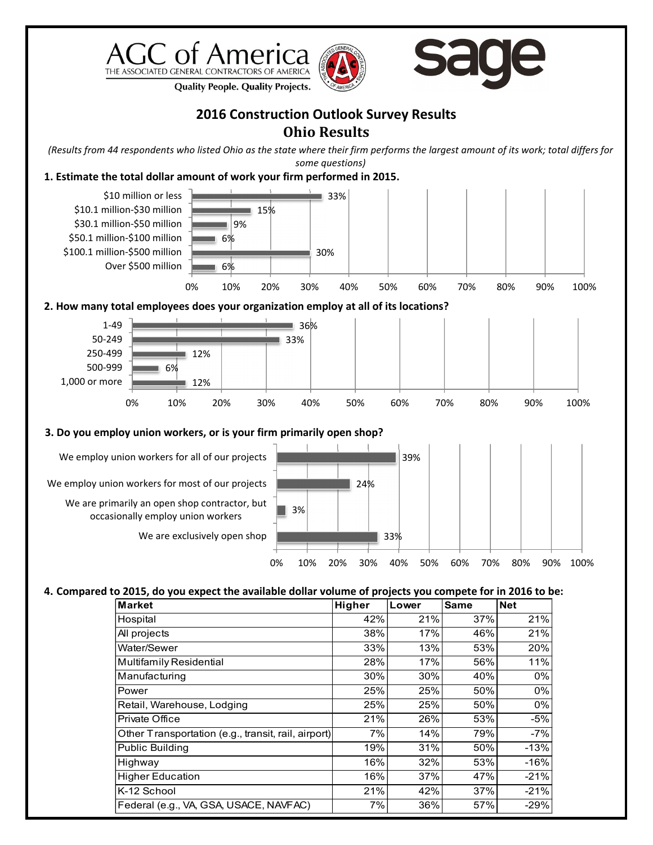





**Quality People. Quality Projects.** 

## **2016 Construction Outlook Survey Results Ohio Results**

*(Results from 44 respondents who listed Ohio as the state where their firm performs the largest amount of its work; total differs for some questions)*

## **1. Estimate the total dollar amount of work your firm performed in 2015.**



| <b>Market</b>                                       | Higher | Lower | <b>Same</b> | <b>Net</b> |
|-----------------------------------------------------|--------|-------|-------------|------------|
| Hospital                                            | 42%    | 21%   | 37%         | 21%        |
| All projects                                        | 38%    | 17%   | 46%         | 21%        |
| Water/Sewer                                         | 33%    | 13%   | 53%         | 20%        |
| Multifamily Residential                             | 28%    | 17%   | 56%         | 11%        |
| Manufacturing                                       | 30%    | 30%   | 40%         | $0\%$      |
| Power                                               | 25%    | 25%   | 50%         | $0\%$      |
| Retail, Warehouse, Lodging                          | 25%    | 25%   | 50%         | $0\%$      |
| Private Office                                      | 21%    | 26%   | 53%         | $-5%$      |
| Other Transportation (e.g., transit, rail, airport) | 7%     | 14%   | 79%         | $-7%$      |
| <b>Public Building</b>                              | 19%    | 31%   | 50%         | $-13%$     |
| Highway                                             | 16%    | 32%   | 53%         | $-16%$     |
| <b>Higher Education</b>                             | 16%    | 37%   | 47%         | $-21%$     |
| K-12 School                                         | 21%    | 42%   | 37%         | $-21%$     |
| Federal (e.g., VA, GSA, USACE, NAVFAC)              | 7%     | 36%   | 57%         | $-29%$     |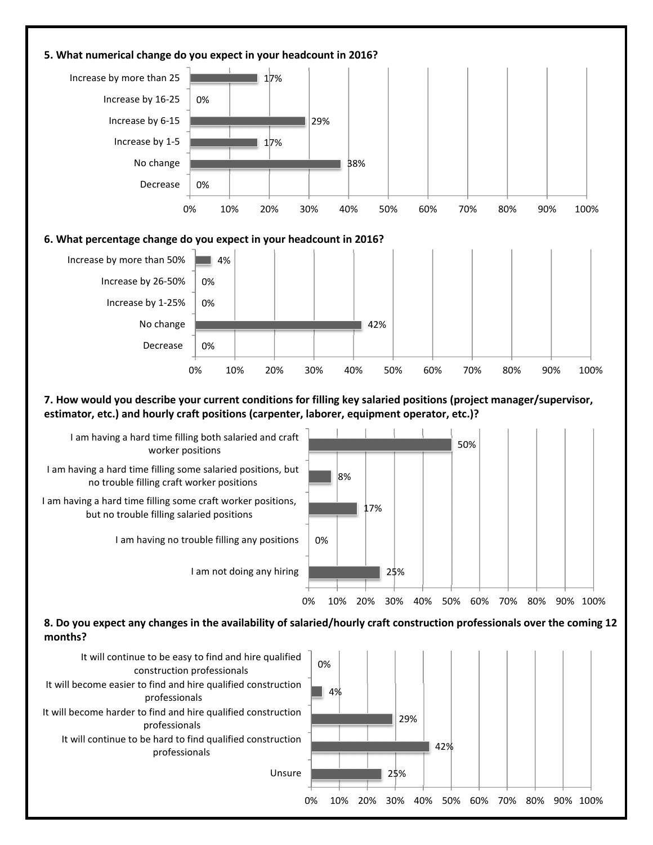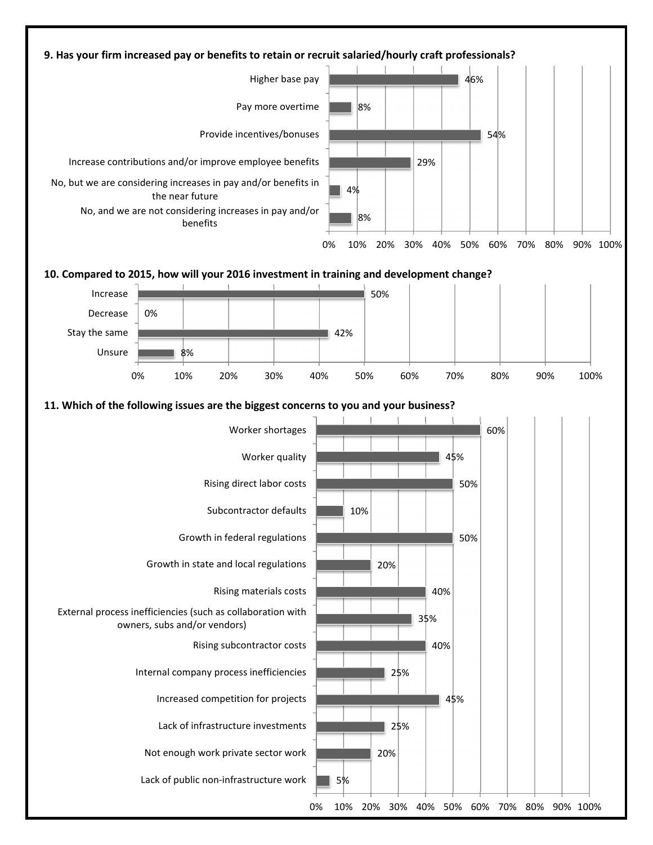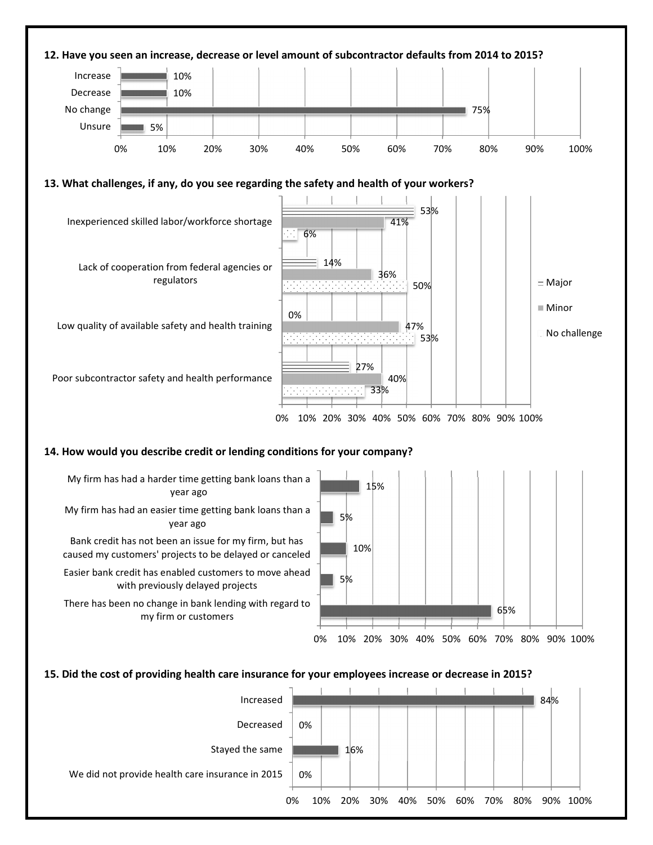

**15. Did the cost of providing health care insurance for your employees increase or decrease in 2015?** 

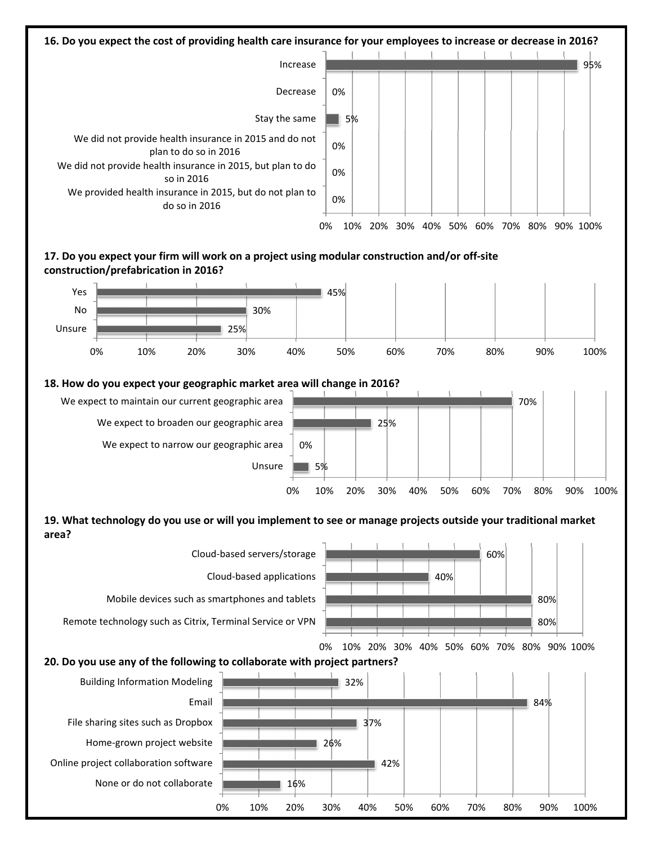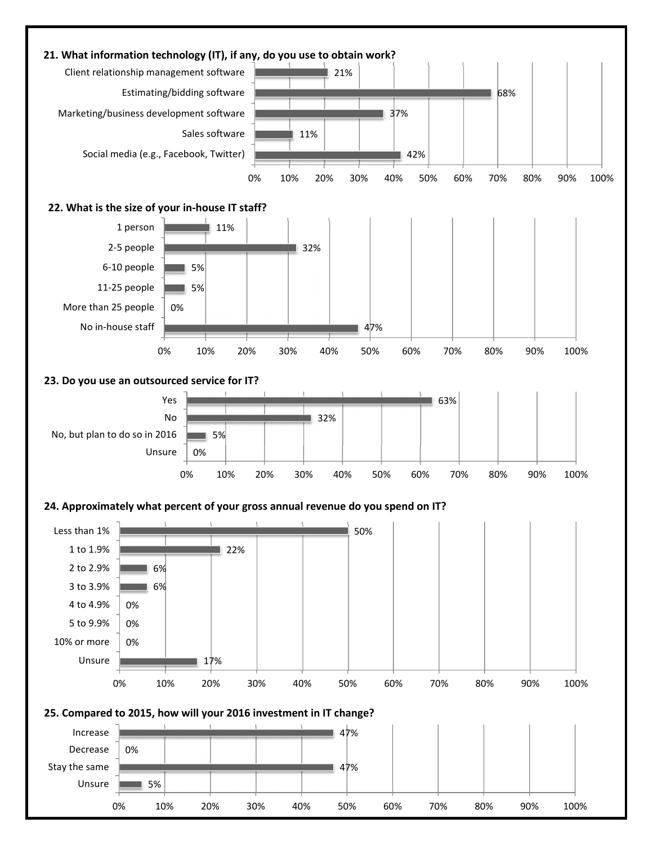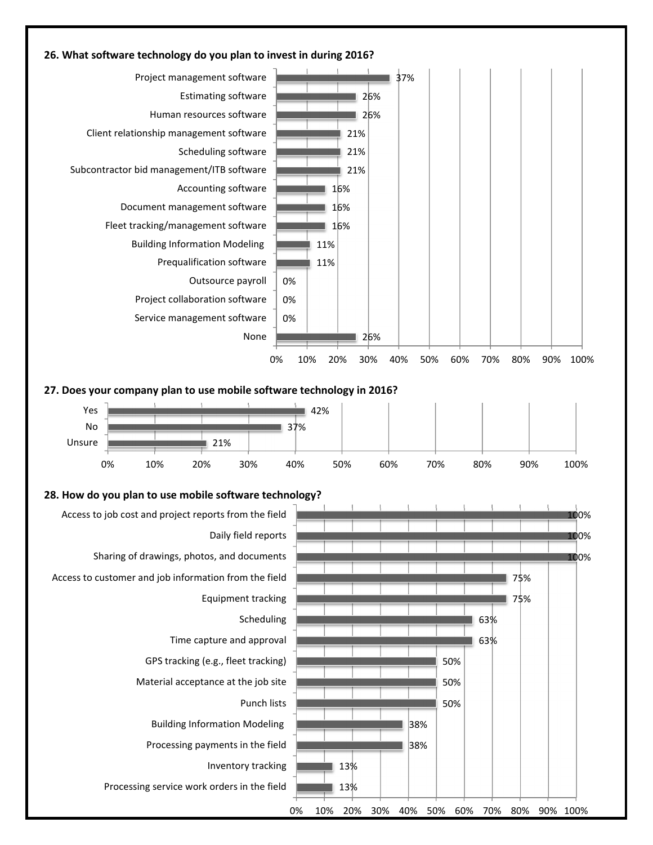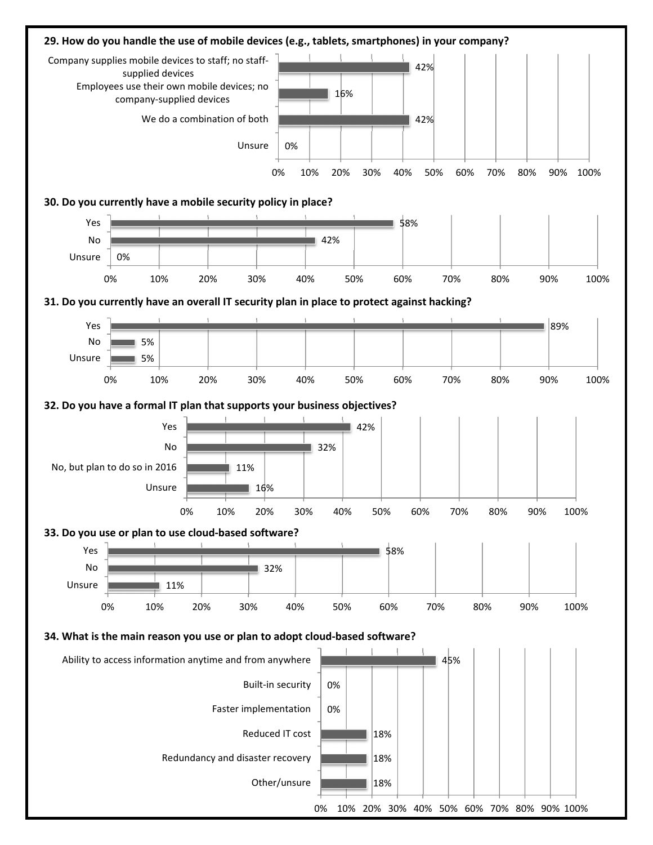